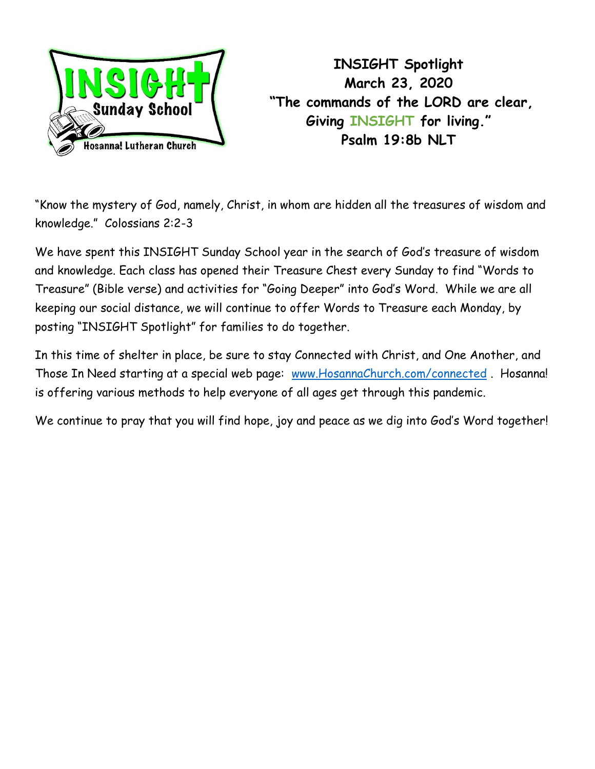

**INSIGHT Spotlight March 23, 2020 "The commands of the LORD are clear, Giving INSIGHT for living." Psalm 19:8b NLT**

"Know the mystery of God, namely, Christ, in whom are hidden all the treasures of wisdom and knowledge." Colossians 2:2-3

We have spent this INSIGHT Sunday School year in the search of God's treasure of wisdom and knowledge. Each class has opened their Treasure Chest every Sunday to find "Words to Treasure" (Bible verse) and activities for "Going Deeper" into God's Word. While we are all keeping our social distance, we will continue to offer Words to Treasure each Monday, by posting "INSIGHT Spotlight" for families to do together.

In this time of shelter in place, be sure to stay Connected with Christ, and One Another, and Those In Need starting at a special web page: [www.HosannaChurch.com/connected](http://www.hosannachurch.com/connected) . Hosanna! is offering various methods to help everyone of all ages get through this pandemic.

We continue to pray that you will find hope, joy and peace as we dig into God's Word together!